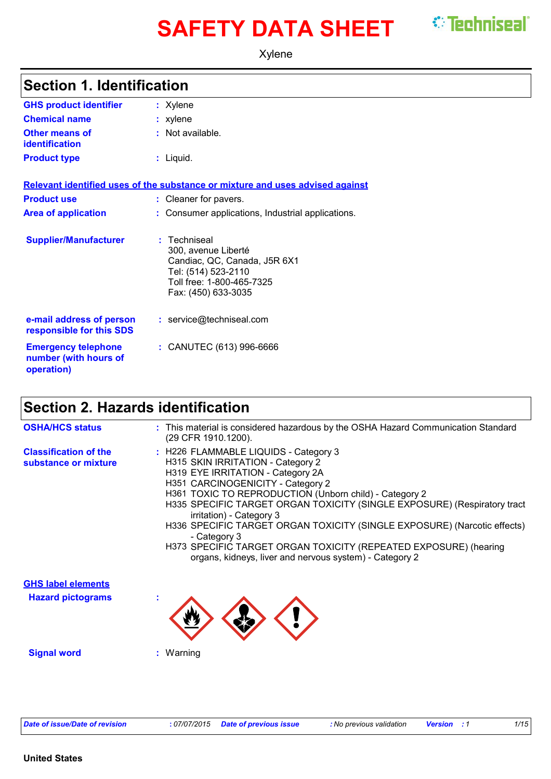# **SAFETY DATA SHEET** STechniseal®

T

Xylene

| <b>Section 1. Identification</b>                                  |                                                                                                                                              |  |
|-------------------------------------------------------------------|----------------------------------------------------------------------------------------------------------------------------------------------|--|
| <b>GHS product identifier</b>                                     | : Xylene                                                                                                                                     |  |
| <b>Chemical name</b>                                              | : xylene                                                                                                                                     |  |
| <b>Other means of</b><br><b>identification</b>                    | : Not available.                                                                                                                             |  |
| <b>Product type</b>                                               | : Liquid.                                                                                                                                    |  |
|                                                                   | Relevant identified uses of the substance or mixture and uses advised against                                                                |  |
| <b>Product use</b>                                                | : Cleaner for pavers.                                                                                                                        |  |
| <b>Area of application</b>                                        | : Consumer applications, Industrial applications.                                                                                            |  |
| <b>Supplier/Manufacturer</b>                                      | Techniseal<br>300, avenue Liberté<br>Candiac, QC, Canada, J5R 6X1<br>Tel: (514) 523-2110<br>Toll free: 1-800-465-7325<br>Fax: (450) 633-3035 |  |
| e-mail address of person<br>responsible for this SDS              | : service@techniseal.com                                                                                                                     |  |
| <b>Emergency telephone</b><br>number (with hours of<br>operation) | : CANUTEC (613) 996-6666                                                                                                                     |  |

## **Section 2. Hazards identification**

| <b>OSHA/HCS status</b>                                | : This material is considered hazardous by the OSHA Hazard Communication Standard<br>(29 CFR 1910.1200).                                                                                                                                                                                                                                                                                                                                                                                                                                          |
|-------------------------------------------------------|---------------------------------------------------------------------------------------------------------------------------------------------------------------------------------------------------------------------------------------------------------------------------------------------------------------------------------------------------------------------------------------------------------------------------------------------------------------------------------------------------------------------------------------------------|
| <b>Classification of the</b><br>substance or mixture  | : H226 FLAMMABLE LIQUIDS - Category 3<br>H315 SKIN IRRITATION - Category 2<br>H319 EYE IRRITATION - Category 2A<br>H351 CARCINOGENICITY - Category 2<br>H361 TOXIC TO REPRODUCTION (Unborn child) - Category 2<br>H335 SPECIFIC TARGET ORGAN TOXICITY (SINGLE EXPOSURE) (Respiratory tract<br>irritation) - Category 3<br>H336 SPECIFIC TARGET ORGAN TOXICITY (SINGLE EXPOSURE) (Narcotic effects)<br>- Category 3<br>H373 SPECIFIC TARGET ORGAN TOXICITY (REPEATED EXPOSURE) (hearing<br>organs, kidneys, liver and nervous system) - Category 2 |
| <b>GHS label elements</b><br><b>Hazard pictograms</b> |                                                                                                                                                                                                                                                                                                                                                                                                                                                                                                                                                   |
| <b>Signal word</b>                                    | : Warning                                                                                                                                                                                                                                                                                                                                                                                                                                                                                                                                         |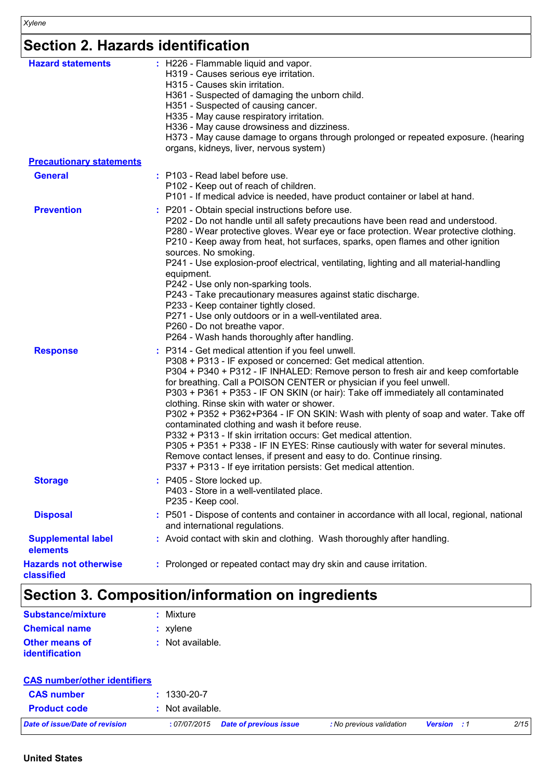# **Section 2. Hazards identification**

| <b>Hazard statements</b>                   | : H226 - Flammable liquid and vapor.<br>H319 - Causes serious eye irritation.<br>H315 - Causes skin irritation.<br>H361 - Suspected of damaging the unborn child.<br>H351 - Suspected of causing cancer.<br>H335 - May cause respiratory irritation.<br>H336 - May cause drowsiness and dizziness.<br>H373 - May cause damage to organs through prolonged or repeated exposure. (hearing<br>organs, kidneys, liver, nervous system)                                                                                                                                                                                                                                                                                                                                                                                                                           |
|--------------------------------------------|---------------------------------------------------------------------------------------------------------------------------------------------------------------------------------------------------------------------------------------------------------------------------------------------------------------------------------------------------------------------------------------------------------------------------------------------------------------------------------------------------------------------------------------------------------------------------------------------------------------------------------------------------------------------------------------------------------------------------------------------------------------------------------------------------------------------------------------------------------------|
| <b>Precautionary statements</b>            |                                                                                                                                                                                                                                                                                                                                                                                                                                                                                                                                                                                                                                                                                                                                                                                                                                                               |
| <b>General</b>                             | : P103 - Read label before use.<br>P102 - Keep out of reach of children.<br>P101 - If medical advice is needed, have product container or label at hand.                                                                                                                                                                                                                                                                                                                                                                                                                                                                                                                                                                                                                                                                                                      |
| <b>Prevention</b>                          | : P201 - Obtain special instructions before use.<br>P202 - Do not handle until all safety precautions have been read and understood.<br>P280 - Wear protective gloves. Wear eye or face protection. Wear protective clothing.<br>P210 - Keep away from heat, hot surfaces, sparks, open flames and other ignition<br>sources. No smoking.<br>P241 - Use explosion-proof electrical, ventilating, lighting and all material-handling<br>equipment.<br>P242 - Use only non-sparking tools.<br>P243 - Take precautionary measures against static discharge.<br>P233 - Keep container tightly closed.<br>P271 - Use only outdoors or in a well-ventilated area.<br>P260 - Do not breathe vapor.<br>P264 - Wash hands thoroughly after handling.                                                                                                                   |
| <b>Response</b>                            | : P314 - Get medical attention if you feel unwell.<br>P308 + P313 - IF exposed or concerned: Get medical attention.<br>P304 + P340 + P312 - IF INHALED: Remove person to fresh air and keep comfortable<br>for breathing. Call a POISON CENTER or physician if you feel unwell.<br>P303 + P361 + P353 - IF ON SKIN (or hair): Take off immediately all contaminated<br>clothing. Rinse skin with water or shower.<br>P302 + P352 + P362+P364 - IF ON SKIN: Wash with plenty of soap and water. Take off<br>contaminated clothing and wash it before reuse.<br>P332 + P313 - If skin irritation occurs: Get medical attention.<br>P305 + P351 + P338 - IF IN EYES: Rinse cautiously with water for several minutes.<br>Remove contact lenses, if present and easy to do. Continue rinsing.<br>P337 + P313 - If eye irritation persists: Get medical attention. |
| <b>Storage</b>                             | : P405 - Store locked up.<br>P403 - Store in a well-ventilated place.<br>P235 - Keep cool.                                                                                                                                                                                                                                                                                                                                                                                                                                                                                                                                                                                                                                                                                                                                                                    |
| <b>Disposal</b>                            | : P501 - Dispose of contents and container in accordance with all local, regional, national<br>and international regulations.                                                                                                                                                                                                                                                                                                                                                                                                                                                                                                                                                                                                                                                                                                                                 |
| <b>Supplemental label</b><br>elements      | : Avoid contact with skin and clothing. Wash thoroughly after handling.                                                                                                                                                                                                                                                                                                                                                                                                                                                                                                                                                                                                                                                                                                                                                                                       |
| <b>Hazards not otherwise</b><br>classified | : Prolonged or repeated contact may dry skin and cause irritation.                                                                                                                                                                                                                                                                                                                                                                                                                                                                                                                                                                                                                                                                                                                                                                                            |

# **Section 3. Composition/information on ingredients**

| Substance/mixture     | $:$ Mixture      |
|-----------------------|------------------|
| <b>Chemical name</b>  | $:$ xylene       |
| Other means of        | : Not available. |
| <b>identification</b> |                  |

| <b>CAS number/other identifiers</b> |                  |                               |                          |                    |      |
|-------------------------------------|------------------|-------------------------------|--------------------------|--------------------|------|
| <b>CAS number</b>                   | 1330-20-7        |                               |                          |                    |      |
| <b>Product code</b>                 | : Not available. |                               |                          |                    |      |
| Date of issue/Date of revision      | : 07/07/2015     | <b>Date of previous issue</b> | : No previous validation | <b>Version</b> : 1 | 2/15 |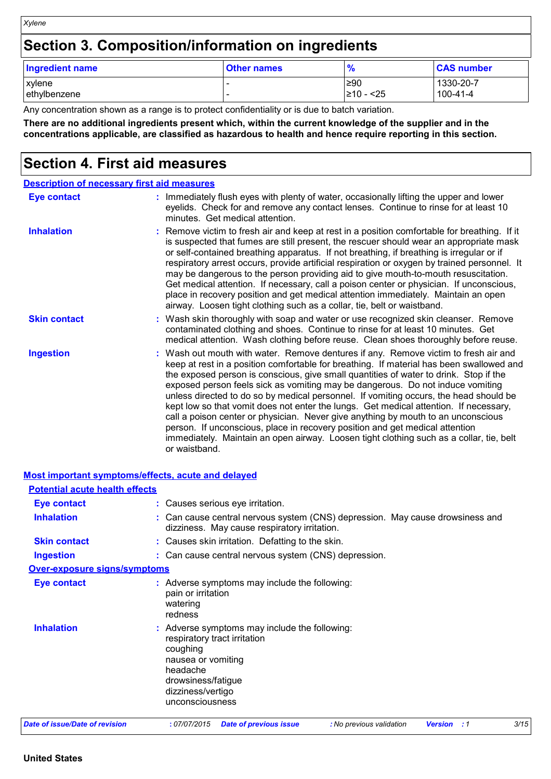## **Section 3. Composition/information on ingredients**

| <b>Ingredient name</b> | <b>Other names</b> | $\frac{9}{6}$ | <b>CAS number</b> |
|------------------------|--------------------|---------------|-------------------|
| xylene                 |                    | !≥90          | 1330-20-7         |
| ethylbenzene           |                    | l≥10 - <25    | 100-41-4          |

Any concentration shown as a range is to protect confidentiality or is due to batch variation.

**There are no additional ingredients present which, within the current knowledge of the supplier and in the concentrations applicable, are classified as hazardous to health and hence require reporting in this section.**

## **Section 4. First aid measures**

*Xylene*

| <b>Description of necessary first aid measures</b> |                                                                                                                                                                                                                                                                                                                                                                                                                                                                                                                                                                                                                                                                                                                                                                                                                               |
|----------------------------------------------------|-------------------------------------------------------------------------------------------------------------------------------------------------------------------------------------------------------------------------------------------------------------------------------------------------------------------------------------------------------------------------------------------------------------------------------------------------------------------------------------------------------------------------------------------------------------------------------------------------------------------------------------------------------------------------------------------------------------------------------------------------------------------------------------------------------------------------------|
| <b>Eye contact</b>                                 | : Immediately flush eyes with plenty of water, occasionally lifting the upper and lower<br>eyelids. Check for and remove any contact lenses. Continue to rinse for at least 10<br>minutes. Get medical attention.                                                                                                                                                                                                                                                                                                                                                                                                                                                                                                                                                                                                             |
| <b>Inhalation</b>                                  | : Remove victim to fresh air and keep at rest in a position comfortable for breathing. If it<br>is suspected that fumes are still present, the rescuer should wear an appropriate mask<br>or self-contained breathing apparatus. If not breathing, if breathing is irregular or if<br>respiratory arrest occurs, provide artificial respiration or oxygen by trained personnel. It<br>may be dangerous to the person providing aid to give mouth-to-mouth resuscitation.<br>Get medical attention. If necessary, call a poison center or physician. If unconscious,<br>place in recovery position and get medical attention immediately. Maintain an open<br>airway. Loosen tight clothing such as a collar, tie, belt or waistband.                                                                                          |
| <b>Skin contact</b>                                | : Wash skin thoroughly with soap and water or use recognized skin cleanser. Remove<br>contaminated clothing and shoes. Continue to rinse for at least 10 minutes. Get<br>medical attention. Wash clothing before reuse. Clean shoes thoroughly before reuse.                                                                                                                                                                                                                                                                                                                                                                                                                                                                                                                                                                  |
| <b>Ingestion</b>                                   | : Wash out mouth with water. Remove dentures if any. Remove victim to fresh air and<br>keep at rest in a position comfortable for breathing. If material has been swallowed and<br>the exposed person is conscious, give small quantities of water to drink. Stop if the<br>exposed person feels sick as vomiting may be dangerous. Do not induce vomiting<br>unless directed to do so by medical personnel. If vomiting occurs, the head should be<br>kept low so that vomit does not enter the lungs. Get medical attention. If necessary,<br>call a poison center or physician. Never give anything by mouth to an unconscious<br>person. If unconscious, place in recovery position and get medical attention<br>immediately. Maintain an open airway. Loosen tight clothing such as a collar, tie, belt<br>or waistband. |

|                                       | <b>Most important symptoms/effects, acute and delayed</b>                                                                                                                                 |
|---------------------------------------|-------------------------------------------------------------------------------------------------------------------------------------------------------------------------------------------|
| <b>Potential acute health effects</b> |                                                                                                                                                                                           |
| <b>Eye contact</b>                    | : Causes serious eye irritation.                                                                                                                                                          |
| <b>Inhalation</b>                     | : Can cause central nervous system (CNS) depression. May cause drowsiness and<br>dizziness. May cause respiratory irritation.                                                             |
| <b>Skin contact</b>                   | : Causes skin irritation. Defatting to the skin.                                                                                                                                          |
| Ingestion                             | : Can cause central nervous system (CNS) depression.                                                                                                                                      |
| <b>Over-exposure signs/symptoms</b>   |                                                                                                                                                                                           |
| <b>Eye contact</b>                    | : Adverse symptoms may include the following:<br>pain or irritation<br>watering<br>redness                                                                                                |
| <b>Inhalation</b>                     | : Adverse symptoms may include the following:<br>respiratory tract irritation<br>coughing<br>nausea or vomiting<br>headache<br>drowsiness/fatigue<br>dizziness/vertigo<br>unconsciousness |
|                                       | $\cdots$                                                                                                                                                                                  |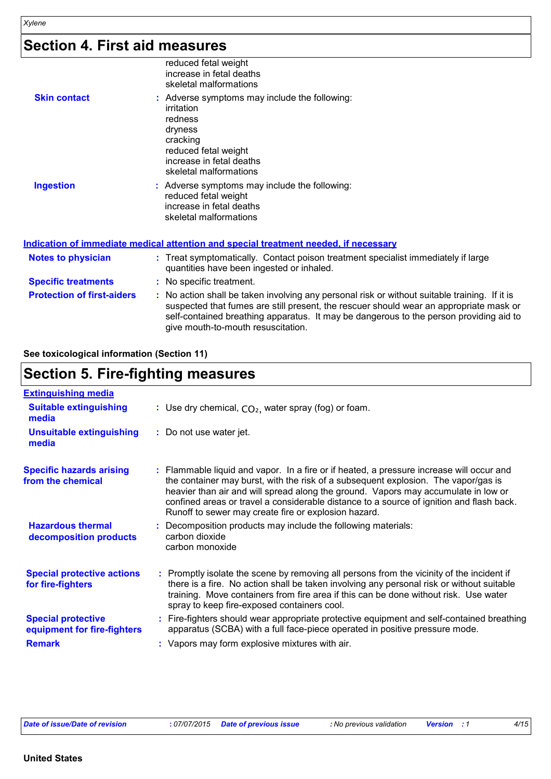## **Section 4. First aid measures**

|                                   | reduced fetal weight<br>increase in fetal deaths<br>skeletal malformations                                                                                                                                                                                                                                              |
|-----------------------------------|-------------------------------------------------------------------------------------------------------------------------------------------------------------------------------------------------------------------------------------------------------------------------------------------------------------------------|
| <b>Skin contact</b>               | : Adverse symptoms may include the following:<br>irritation<br>redness<br>dryness<br>cracking<br>reduced fetal weight<br>increase in fetal deaths<br>skeletal malformations                                                                                                                                             |
| <b>Ingestion</b>                  | : Adverse symptoms may include the following:<br>reduced fetal weight<br>increase in fetal deaths<br>skeletal malformations                                                                                                                                                                                             |
|                                   | Indication of immediate medical attention and special treatment needed, if necessary                                                                                                                                                                                                                                    |
| <b>Notes to physician</b>         | : Treat symptomatically. Contact poison treatment specialist immediately if large<br>quantities have been ingested or inhaled.                                                                                                                                                                                          |
| <b>Specific treatments</b>        | : No specific treatment.                                                                                                                                                                                                                                                                                                |
| <b>Protection of first-aiders</b> | : No action shall be taken involving any personal risk or without suitable training. If it is<br>suspected that fumes are still present, the rescuer should wear an appropriate mask or<br>self-contained breathing apparatus. It may be dangerous to the person providing aid to<br>give mouth-to-mouth resuscitation. |

#### **See toxicological information (Section 11)**

## **Section 5. Fire-fighting measures**

| <b>Extinguishing media</b>                                                |                                                                                                                                                                                                                                                                                                                                                                                                                          |
|---------------------------------------------------------------------------|--------------------------------------------------------------------------------------------------------------------------------------------------------------------------------------------------------------------------------------------------------------------------------------------------------------------------------------------------------------------------------------------------------------------------|
| <b>Suitable extinguishing</b><br>media                                    | : Use dry chemical, $CO2$ , water spray (fog) or foam.                                                                                                                                                                                                                                                                                                                                                                   |
| <b>Unsuitable extinguishing</b><br>media                                  | : Do not use water jet.                                                                                                                                                                                                                                                                                                                                                                                                  |
| <b>Specific hazards arising</b><br>from the chemical                      | : Flammable liquid and vapor. In a fire or if heated, a pressure increase will occur and<br>the container may burst, with the risk of a subsequent explosion. The vapor/gas is<br>heavier than air and will spread along the ground. Vapors may accumulate in low or<br>confined areas or travel a considerable distance to a source of ignition and flash back.<br>Runoff to sewer may create fire or explosion hazard. |
| <b>Hazardous thermal</b><br>decomposition products                        | Decomposition products may include the following materials:<br>carbon dioxide<br>carbon monoxide                                                                                                                                                                                                                                                                                                                         |
| <b>Special protective actions</b><br>for fire-fighters                    | : Promptly isolate the scene by removing all persons from the vicinity of the incident if<br>there is a fire. No action shall be taken involving any personal risk or without suitable<br>training. Move containers from fire area if this can be done without risk. Use water<br>spray to keep fire-exposed containers cool.                                                                                            |
| <b>Special protective</b><br>equipment for fire-fighters<br><b>Remark</b> | : Fire-fighters should wear appropriate protective equipment and self-contained breathing<br>apparatus (SCBA) with a full face-piece operated in positive pressure mode.<br>: Vapors may form explosive mixtures with air.                                                                                                                                                                                               |
|                                                                           |                                                                                                                                                                                                                                                                                                                                                                                                                          |

*Date of issue/Date of revision* **:** *07/07/2015 Date of previous issue : No previous validation Version : 1 4/15*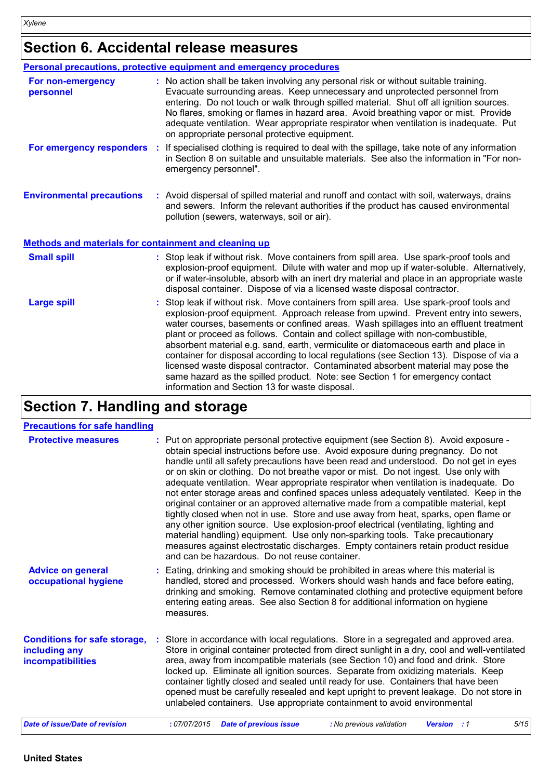## **Section 6. Accidental release measures**

|                                                       | Personal precautions, protective equipment and emergency procedures                                                                                                                                                                                                                                                                                                                                                                                                                                                                                                                                                                                                                                                                                                |
|-------------------------------------------------------|--------------------------------------------------------------------------------------------------------------------------------------------------------------------------------------------------------------------------------------------------------------------------------------------------------------------------------------------------------------------------------------------------------------------------------------------------------------------------------------------------------------------------------------------------------------------------------------------------------------------------------------------------------------------------------------------------------------------------------------------------------------------|
| For non-emergency<br>personnel                        | : No action shall be taken involving any personal risk or without suitable training.<br>Evacuate surrounding areas. Keep unnecessary and unprotected personnel from<br>entering. Do not touch or walk through spilled material. Shut off all ignition sources.<br>No flares, smoking or flames in hazard area. Avoid breathing vapor or mist. Provide<br>adequate ventilation. Wear appropriate respirator when ventilation is inadequate. Put<br>on appropriate personal protective equipment.                                                                                                                                                                                                                                                                    |
| For emergency responders                              | If specialised clothing is required to deal with the spillage, take note of any information<br>in Section 8 on suitable and unsuitable materials. See also the information in "For non-<br>emergency personnel".                                                                                                                                                                                                                                                                                                                                                                                                                                                                                                                                                   |
| <b>Environmental precautions</b>                      | : Avoid dispersal of spilled material and runoff and contact with soil, waterways, drains<br>and sewers. Inform the relevant authorities if the product has caused environmental<br>pollution (sewers, waterways, soil or air).                                                                                                                                                                                                                                                                                                                                                                                                                                                                                                                                    |
| Methods and materials for containment and cleaning up |                                                                                                                                                                                                                                                                                                                                                                                                                                                                                                                                                                                                                                                                                                                                                                    |
| <b>Small spill</b>                                    | : Stop leak if without risk. Move containers from spill area. Use spark-proof tools and<br>explosion-proof equipment. Dilute with water and mop up if water-soluble. Alternatively,<br>or if water-insoluble, absorb with an inert dry material and place in an appropriate waste<br>disposal container. Dispose of via a licensed waste disposal contractor.                                                                                                                                                                                                                                                                                                                                                                                                      |
| <b>Large spill</b>                                    | Stop leak if without risk. Move containers from spill area. Use spark-proof tools and<br>explosion-proof equipment. Approach release from upwind. Prevent entry into sewers,<br>water courses, basements or confined areas. Wash spillages into an effluent treatment<br>plant or proceed as follows. Contain and collect spillage with non-combustible,<br>absorbent material e.g. sand, earth, vermiculite or diatomaceous earth and place in<br>container for disposal according to local regulations (see Section 13). Dispose of via a<br>licensed waste disposal contractor. Contaminated absorbent material may pose the<br>same hazard as the spilled product. Note: see Section 1 for emergency contact<br>information and Section 13 for waste disposal. |

## **Section 7. Handling and storage**

#### **Precautions for safe handling**

| <b>TOOMMINUTION TOT OMIO TIMITARITIS</b>                                  |                                                                                                                                                                                                                                                                                                                                                                                                                                                                                                                                                                                                                                                                                                                                                                                                                                                                                                                                                                                                                                       |
|---------------------------------------------------------------------------|---------------------------------------------------------------------------------------------------------------------------------------------------------------------------------------------------------------------------------------------------------------------------------------------------------------------------------------------------------------------------------------------------------------------------------------------------------------------------------------------------------------------------------------------------------------------------------------------------------------------------------------------------------------------------------------------------------------------------------------------------------------------------------------------------------------------------------------------------------------------------------------------------------------------------------------------------------------------------------------------------------------------------------------|
| <b>Protective measures</b>                                                | : Put on appropriate personal protective equipment (see Section 8). Avoid exposure -<br>obtain special instructions before use. Avoid exposure during pregnancy. Do not<br>handle until all safety precautions have been read and understood. Do not get in eyes<br>or on skin or clothing. Do not breathe vapor or mist. Do not ingest. Use only with<br>adequate ventilation. Wear appropriate respirator when ventilation is inadequate. Do<br>not enter storage areas and confined spaces unless adequately ventilated. Keep in the<br>original container or an approved alternative made from a compatible material, kept<br>tightly closed when not in use. Store and use away from heat, sparks, open flame or<br>any other ignition source. Use explosion-proof electrical (ventilating, lighting and<br>material handling) equipment. Use only non-sparking tools. Take precautionary<br>measures against electrostatic discharges. Empty containers retain product residue<br>and can be hazardous. Do not reuse container. |
| <b>Advice on general</b><br>occupational hygiene                          | : Eating, drinking and smoking should be prohibited in areas where this material is<br>handled, stored and processed. Workers should wash hands and face before eating,<br>drinking and smoking. Remove contaminated clothing and protective equipment before<br>entering eating areas. See also Section 8 for additional information on hygiene<br>measures.                                                                                                                                                                                                                                                                                                                                                                                                                                                                                                                                                                                                                                                                         |
| <b>Conditions for safe storage,</b><br>including any<br>incompatibilities | Store in accordance with local regulations. Store in a segregated and approved area.<br>Store in original container protected from direct sunlight in a dry, cool and well-ventilated<br>area, away from incompatible materials (see Section 10) and food and drink. Store<br>locked up. Eliminate all ignition sources. Separate from oxidizing materials. Keep<br>container tightly closed and sealed until ready for use. Containers that have been<br>opened must be carefully resealed and kept upright to prevent leakage. Do not store in<br>unlabeled containers. Use appropriate containment to avoid environmental                                                                                                                                                                                                                                                                                                                                                                                                          |
| <b>Date of issue/Date of revision</b>                                     | 5/15<br>:07/07/2015<br><b>Date of previous issue</b><br>: No previous validation<br><b>Version</b> : 1                                                                                                                                                                                                                                                                                                                                                                                                                                                                                                                                                                                                                                                                                                                                                                                                                                                                                                                                |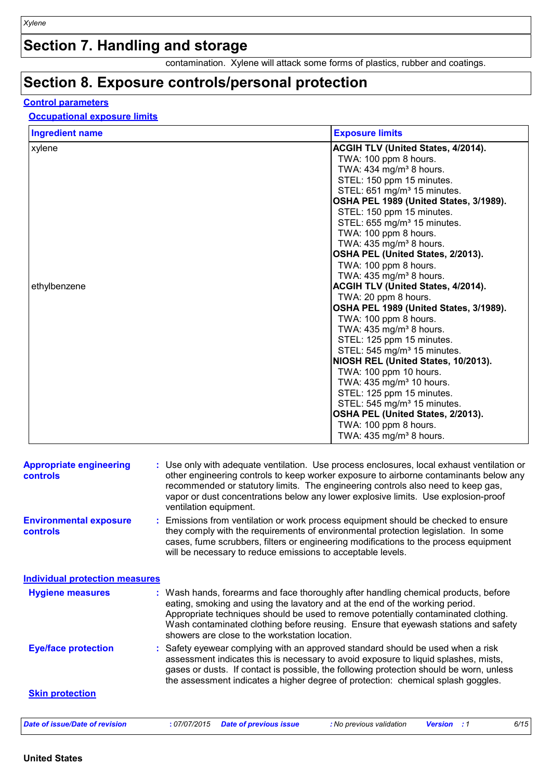## **Section 7. Handling and storage**

contamination. Xylene will attack some forms of plastics, rubber and coatings.

## **Section 8. Exposure controls/personal protection**

## **Control parameters**

## **Occupational exposure limits**

| <b>Appropriate engineering</b><br><b>controls</b> | : Use only with adequate ventilation. Use process enclosures, local exhaust ventilation or<br>other engineering controls to keep worker exposure to airborne contaminants below any<br>recommended or statutory limits. The engineering controls also need to keep gas,<br>vapor or dust concentrations below any lower explosive limits. Use explosion-proof<br>ventilation equipment.           |  |  |  |  |
|---------------------------------------------------|---------------------------------------------------------------------------------------------------------------------------------------------------------------------------------------------------------------------------------------------------------------------------------------------------------------------------------------------------------------------------------------------------|--|--|--|--|
| <b>Environmental exposure</b><br><b>controls</b>  | : Emissions from ventilation or work process equipment should be checked to ensure<br>they comply with the requirements of environmental protection legislation. In some<br>cases, fume scrubbers, filters or engineering modifications to the process equipment<br>will be necessary to reduce emissions to acceptable levels.                                                                   |  |  |  |  |
| <b>Individual protection measures</b>             |                                                                                                                                                                                                                                                                                                                                                                                                   |  |  |  |  |
| <b>Hygiene measures</b>                           | : Wash hands, forearms and face thoroughly after handling chemical products, before<br>eating, smoking and using the lavatory and at the end of the working period.<br>Appropriate techniques should be used to remove potentially contaminated clothing.<br>Wash contaminated clothing before reusing. Ensure that eyewash stations and safety<br>showers are close to the workstation location. |  |  |  |  |
| <b>Eye/face protection</b>                        | : Safety eyewear complying with an approved standard should be used when a risk<br>assessment indicates this is necessary to avoid exposure to liquid splashes, mists,<br>gases or dusts. If contact is possible, the following protection should be worn, unless<br>the assessment indicates a higher degree of protection: chemical splash goggles.                                             |  |  |  |  |
| <b>Skin protection</b>                            |                                                                                                                                                                                                                                                                                                                                                                                                   |  |  |  |  |
| <b>Date of issue/Date of revision</b>             | 6/15<br>:07/07/2015<br><b>Date of previous issue</b><br>: No previous validation<br><b>Version</b> : 1                                                                                                                                                                                                                                                                                            |  |  |  |  |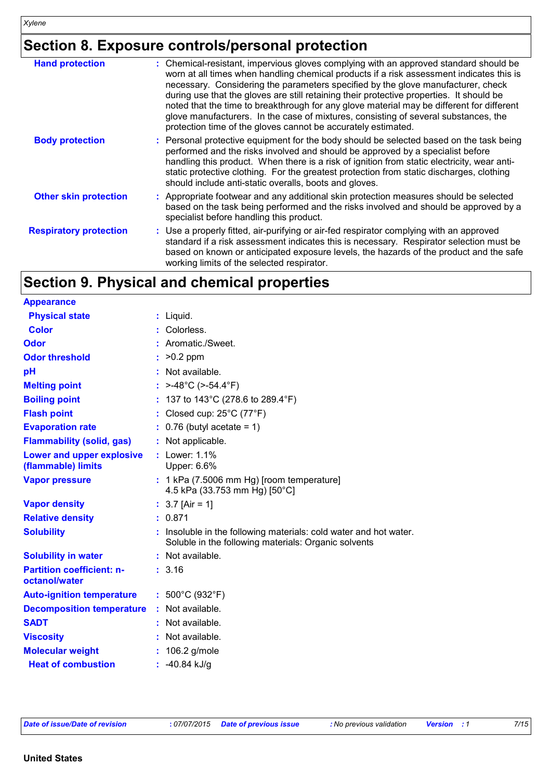## **Section 8. Exposure controls/personal protection**

| <b>Hand protection</b>        | : Chemical-resistant, impervious gloves complying with an approved standard should be<br>worn at all times when handling chemical products if a risk assessment indicates this is<br>necessary. Considering the parameters specified by the glove manufacturer, check<br>during use that the gloves are still retaining their protective properties. It should be<br>noted that the time to breakthrough for any glove material may be different for different<br>glove manufacturers. In the case of mixtures, consisting of several substances, the<br>protection time of the gloves cannot be accurately estimated. |
|-------------------------------|------------------------------------------------------------------------------------------------------------------------------------------------------------------------------------------------------------------------------------------------------------------------------------------------------------------------------------------------------------------------------------------------------------------------------------------------------------------------------------------------------------------------------------------------------------------------------------------------------------------------|
| <b>Body protection</b>        | : Personal protective equipment for the body should be selected based on the task being<br>performed and the risks involved and should be approved by a specialist before<br>handling this product. When there is a risk of ignition from static electricity, wear anti-<br>static protective clothing. For the greatest protection from static discharges, clothing<br>should include anti-static overalls, boots and gloves.                                                                                                                                                                                         |
| <b>Other skin protection</b>  | : Appropriate footwear and any additional skin protection measures should be selected<br>based on the task being performed and the risks involved and should be approved by a<br>specialist before handling this product.                                                                                                                                                                                                                                                                                                                                                                                              |
| <b>Respiratory protection</b> | : Use a properly fitted, air-purifying or air-fed respirator complying with an approved<br>standard if a risk assessment indicates this is necessary. Respirator selection must be<br>based on known or anticipated exposure levels, the hazards of the product and the safe<br>working limits of the selected respirator.                                                                                                                                                                                                                                                                                             |

## **Section 9. Physical and chemical properties**

| <b>Appearance</b>                                 |                                                                                                                           |
|---------------------------------------------------|---------------------------------------------------------------------------------------------------------------------------|
| <b>Physical state</b>                             | $:$ Liquid.                                                                                                               |
| <b>Color</b>                                      | Colorless.                                                                                                                |
| Odor                                              | : Aromatic./Sweet.                                                                                                        |
| <b>Odor threshold</b>                             | : $>0.2$ ppm                                                                                                              |
| pH                                                | : Not available.                                                                                                          |
| <b>Melting point</b>                              | : $>$ -48°C ( $>$ -54.4°F)                                                                                                |
| <b>Boiling point</b>                              | : 137 to 143°C (278.6 to 289.4°F)                                                                                         |
| <b>Flash point</b>                                | : Closed cup: $25^{\circ}$ C (77 $^{\circ}$ F)                                                                            |
| <b>Evaporation rate</b>                           | $\therefore$ 0.76 (butyl acetate = 1)                                                                                     |
| <b>Flammability (solid, gas)</b>                  | : Not applicable.                                                                                                         |
| Lower and upper explosive<br>(flammable) limits   | : Lower: 1.1%<br>Upper: 6.6%                                                                                              |
| <b>Vapor pressure</b>                             | $: 1 kPa$ (7.5006 mm Hg) [room temperature]<br>4.5 kPa (33.753 mm Hg) [50°C]                                              |
| <b>Vapor density</b>                              | : $3.7$ [Air = 1]                                                                                                         |
| <b>Relative density</b>                           | : 0.871                                                                                                                   |
| <b>Solubility</b>                                 | : Insoluble in the following materials: cold water and hot water.<br>Soluble in the following materials: Organic solvents |
| <b>Solubility in water</b>                        | : Not available.                                                                                                          |
| <b>Partition coefficient: n-</b><br>octanol/water | : 3.16                                                                                                                    |
| <b>Auto-ignition temperature</b>                  | : $500^{\circ}$ C (932 $^{\circ}$ F)                                                                                      |
| <b>Decomposition temperature</b>                  | : Not available.                                                                                                          |
| <b>SADT</b>                                       | : Not available.                                                                                                          |
| <b>Viscosity</b>                                  | Not available.                                                                                                            |
| <b>Molecular weight</b>                           | $: 106.2$ g/mole                                                                                                          |
| <b>Heat of combustion</b>                         | : $-40.84$ kJ/g                                                                                                           |

| Date of issue/Date of revision | :07/07/2015 |
|--------------------------------|-------------|
|--------------------------------|-------------|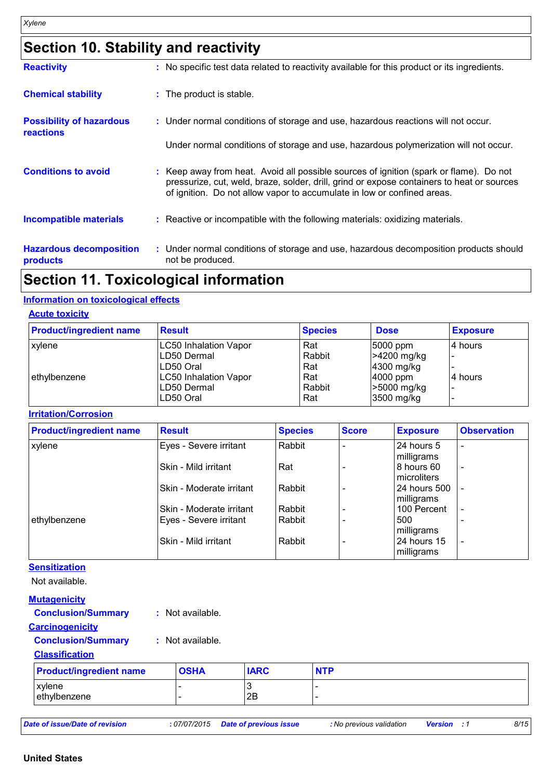## **Section 10. Stability and reactivity**

| <b>Reactivity</b>                                   | : No specific test data related to reactivity available for this product or its ingredients.                                                                                                                                                                    |
|-----------------------------------------------------|-----------------------------------------------------------------------------------------------------------------------------------------------------------------------------------------------------------------------------------------------------------------|
| <b>Chemical stability</b>                           | : The product is stable.                                                                                                                                                                                                                                        |
| <b>Possibility of hazardous</b><br><b>reactions</b> | : Under normal conditions of storage and use, hazardous reactions will not occur.                                                                                                                                                                               |
|                                                     | Under normal conditions of storage and use, hazardous polymerization will not occur.                                                                                                                                                                            |
| <b>Conditions to avoid</b>                          | : Keep away from heat. Avoid all possible sources of ignition (spark or flame). Do not<br>pressurize, cut, weld, braze, solder, drill, grind or expose containers to heat or sources<br>of ignition. Do not allow vapor to accumulate in low or confined areas. |
| <b>Incompatible materials</b>                       | : Reactive or incompatible with the following materials: oxidizing materials.                                                                                                                                                                                   |
| <b>Hazardous decomposition</b><br>products          | : Under normal conditions of storage and use, hazardous decomposition products should<br>not be produced.                                                                                                                                                       |

## **Section 11. Toxicological information**

#### **Information on toxicological effects**

#### **Acute toxicity**

| <b>Product/ingredient name</b> | <b>Result</b>                | <b>Species</b> | <b>Dose</b>       | <b>Exposure</b> |
|--------------------------------|------------------------------|----------------|-------------------|-----------------|
| <b>xylene</b>                  | <b>LC50 Inhalation Vapor</b> | Rat            | 5000 ppm          | 4 hours         |
|                                | LD50 Dermal                  | Rabbit         | >4200 mg/kg       |                 |
|                                | LD50 Oral                    | Rat            | $4300$ mg/kg      |                 |
| ethylbenzene                   | <b>LC50 Inhalation Vapor</b> | Rat            | $ 4000$ ppm       | l4 hours        |
|                                | LD50 Dermal                  | Rabbit         | $\geq 5000$ mg/kg | -               |
|                                | LD50 Oral                    | Rat            | 3500 mg/kg        |                 |

#### **Irritation/Corrosion**

| <b>Product/ingredient name</b> | <b>Result</b>            | <b>Species</b> | <b>Score</b> | <b>Exposure</b> | <b>Observation</b>       |
|--------------------------------|--------------------------|----------------|--------------|-----------------|--------------------------|
| xylene                         | Eyes - Severe irritant   | Rabbit         |              | 24 hours 5      | $\overline{\phantom{0}}$ |
|                                |                          |                |              | milligrams      |                          |
|                                | Skin - Mild irritant     | Rat            |              | 8 hours 60      | $\overline{\phantom{a}}$ |
|                                |                          |                |              | microliters     |                          |
|                                | Skin - Moderate irritant | Rabbit         |              | 24 hours 500    |                          |
|                                |                          |                |              | milligrams      |                          |
|                                | Skin - Moderate irritant | Rabbit         |              | 100 Percent     | $\overline{\phantom{a}}$ |
| ethylbenzene                   | Eyes - Severe irritant   | l Rabbit       |              | 500             |                          |
|                                |                          |                |              | milligrams      |                          |
|                                | Skin - Mild irritant     | l Rabbit       |              | 24 hours 15     | $\overline{\phantom{a}}$ |
|                                |                          |                |              | milligrams      |                          |

#### **Sensitization**

Not available.

| <b>Mutagenicity</b>            |                              |             |            |  |
|--------------------------------|------------------------------|-------------|------------|--|
| <b>Conclusion/Summary</b>      | : Not available.             |             |            |  |
| <b>Carcinogenicity</b>         |                              |             |            |  |
| <b>Conclusion/Summary</b>      | : Not available.             |             |            |  |
| <b>Classification</b>          |                              |             |            |  |
| <b>Product/ingredient name</b> | <b>OSHA</b>                  | <b>IARC</b> | <b>NTP</b> |  |
| xylene                         | -                            | 3           |            |  |
| ethylbenzene                   | $\qquad \qquad \blacksquare$ | 2B          |            |  |

*Date of issue/Date of revision* **:** *07/07/2015 Date of previous issue : No previous validation Version : 1 8/15*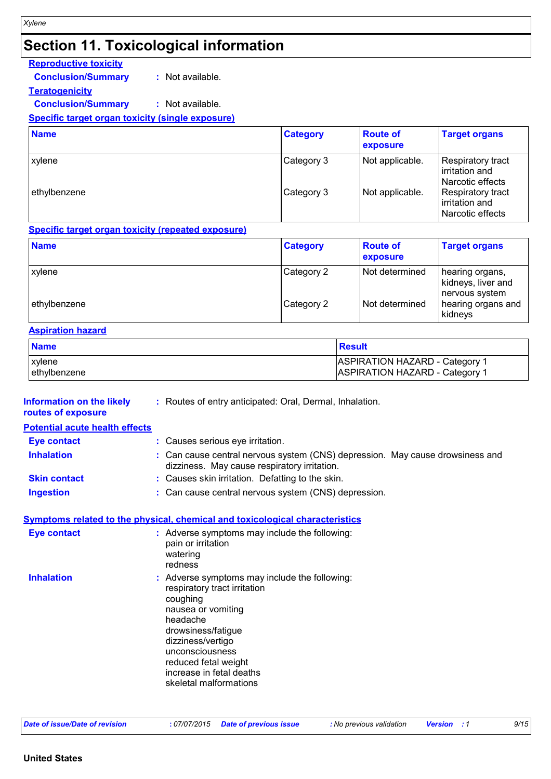## **Section 11. Toxicological information**

## **Reproductive toxicity**

**Conclusion/Summary :** Not available.

**Teratogenicity**

**Conclusion/Summary :** Not available.

#### **Specific target organ toxicity (single exposure)**

| <b>Name</b>  | <b>Category</b> | <b>Route of</b><br>exposure | <b>Target organs</b>                                    |
|--------------|-----------------|-----------------------------|---------------------------------------------------------|
| xylene       | Category 3      | Not applicable.             | Respiratory tract<br>irritation and<br>Narcotic effects |
| ethylbenzene | Category 3      | Not applicable.             | Respiratory tract<br>irritation and<br>Narcotic effects |

#### **Specific target organ toxicity (repeated exposure)**

| <b>Name</b>   | <b>Category</b> | <b>Route of</b><br>exposure | <b>Target organs</b>                                    |
|---------------|-----------------|-----------------------------|---------------------------------------------------------|
| <b>xylene</b> | Category 2      | Not determined              | hearing organs,<br>kidneys, liver and<br>nervous system |
| ethylbenzene  | Category 2      | Not determined              | hearing organs and<br>kidneys                           |

#### **Aspiration hazard**

| <b>Name</b>   | <b>Result</b>                         |
|---------------|---------------------------------------|
| <b>xylene</b> | <b>ASPIRATION HAZARD - Category 1</b> |
| ethylbenzene  | ASPIRATION HAZARD - Category 1        |

| Information on the likely | : Routes of entry anticipated: Oral, Dermal, Inhalation. |
|---------------------------|----------------------------------------------------------|
| routes of exposure        |                                                          |

## **Potential acute health effects**

| <b>Eye contact</b> | : Causes serious eye irritation. |
|--------------------|----------------------------------|
|                    |                                  |

- **Inhalation <b>:** Can cause central nervous system (CNS) depression. May cause drowsiness and dizziness. May cause respiratory irritation.
- **Skin contact :** Causes skin irritation. Defatting to the skin.
- **Ingestion :** Can cause central nervous system (CNS) depression.

## **Symptoms related to the physical, chemical and toxicological characteristics**

| <b>Eye contact</b> | : Adverse symptoms may include the following:<br>pain or irritation<br>watering<br>redness                                                                                                                                                                              |
|--------------------|-------------------------------------------------------------------------------------------------------------------------------------------------------------------------------------------------------------------------------------------------------------------------|
| <b>Inhalation</b>  | : Adverse symptoms may include the following:<br>respiratory tract irritation<br>coughing<br>nausea or vomiting<br>headache<br>drowsiness/fatigue<br>dizziness/vertigo<br>unconsciousness<br>reduced fetal weight<br>increase in fetal deaths<br>skeletal malformations |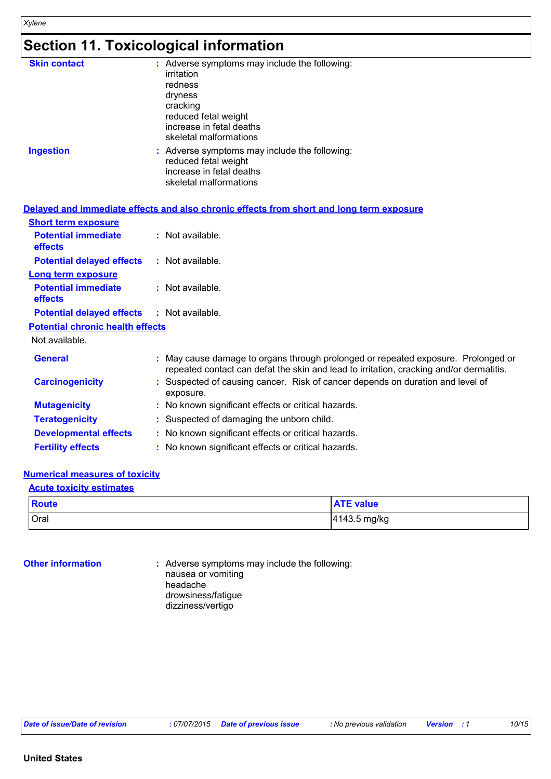## **Section 11. Toxicological information**

| <b>Skin contact</b> | : Adverse symptoms may include the following:<br>irritation<br>redness<br>dryness<br>cracking<br>reduced fetal weight<br>increase in fetal deaths<br>skeletal malformations |
|---------------------|-----------------------------------------------------------------------------------------------------------------------------------------------------------------------------|
| <b>Ingestion</b>    | : Adverse symptoms may include the following:<br>reduced fetal weight<br>increase in fetal deaths<br>skeletal malformations                                                 |

|                                                   | Delayed and immediate effects and also chronic effects from short and long term exposure                                                                                   |  |
|---------------------------------------------------|----------------------------------------------------------------------------------------------------------------------------------------------------------------------------|--|
| <b>Short term exposure</b>                        |                                                                                                                                                                            |  |
| <b>Potential immediate</b><br>effects             | : Not available.                                                                                                                                                           |  |
| <b>Potential delayed effects</b>                  | : Not available.                                                                                                                                                           |  |
| <b>Long term exposure</b>                         |                                                                                                                                                                            |  |
| <b>Potential immediate</b><br>effects             | : Not available.                                                                                                                                                           |  |
| <b>Potential delayed effects : Not available.</b> |                                                                                                                                                                            |  |
| <b>Potential chronic health effects</b>           |                                                                                                                                                                            |  |
| Not available.                                    |                                                                                                                                                                            |  |
| <b>General</b>                                    | May cause damage to organs through prolonged or repeated exposure. Prolonged or<br>repeated contact can defat the skin and lead to irritation, cracking and/or dermatitis. |  |
| <b>Carcinogenicity</b>                            | : Suspected of causing cancer. Risk of cancer depends on duration and level of<br>exposure.                                                                                |  |
| <b>Mutagenicity</b>                               | : No known significant effects or critical hazards.                                                                                                                        |  |
| <b>Teratogenicity</b>                             | : Suspected of damaging the unborn child.                                                                                                                                  |  |
| <b>Developmental effects</b>                      | : No known significant effects or critical hazards.                                                                                                                        |  |
| <b>Fertility effects</b>                          | : No known significant effects or critical hazards.                                                                                                                        |  |

#### **Numerical measures of toxicity**

#### **Acute toxicity estimates**

| <b>Route</b> | <b>ATE value</b> |
|--------------|------------------|
| Oral         | 4143.5 mg/kg     |

**Other information :** Adverse symptoms may include the following: nausea or vomiting headache drowsiness/fatigue dizziness/vertigo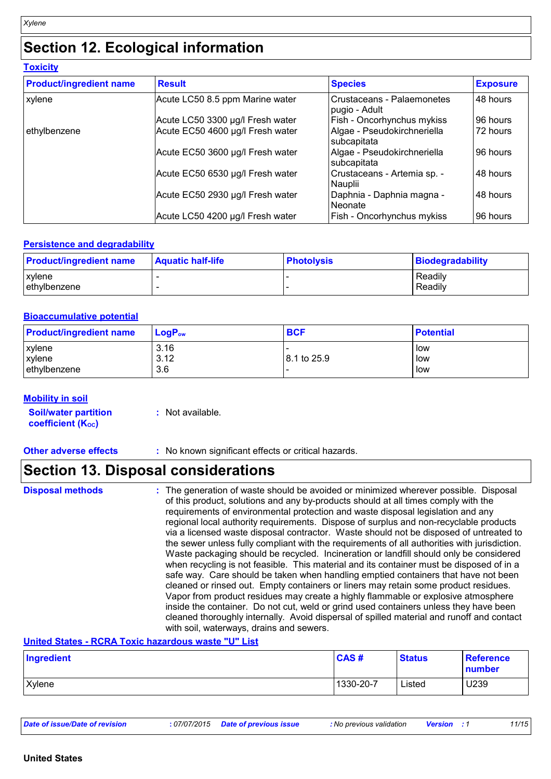## **Section 12. Ecological information**

**Toxicity**

| <b>Product/ingredient name</b> | <b>Result</b>                    | <b>Species</b>                              | <b>Exposure</b> |
|--------------------------------|----------------------------------|---------------------------------------------|-----------------|
| xylene                         | Acute LC50 8.5 ppm Marine water  | Crustaceans - Palaemonetes<br>pugio - Adult | 48 hours        |
|                                | Acute LC50 3300 µg/l Fresh water | Fish - Oncorhynchus mykiss                  | 96 hours        |
| ethylbenzene                   | Acute EC50 4600 µg/l Fresh water | Algae - Pseudokirchneriella<br>subcapitata  | 72 hours        |
|                                | Acute EC50 3600 µg/l Fresh water | Algae - Pseudokirchneriella<br>subcapitata  | 96 hours        |
|                                | Acute EC50 6530 µg/l Fresh water | Crustaceans - Artemia sp. -<br>Nauplii      | 48 hours        |
|                                | Acute EC50 2930 µg/l Fresh water | Daphnia - Daphnia magna -<br>Neonate        | 48 hours        |
|                                | Acute LC50 4200 µg/l Fresh water | Fish - Oncorhynchus mykiss                  | 96 hours        |

## **Persistence and degradability**

| <b>Product/ingredient name</b> | <b>Aquatic half-life</b> | <b>Photolysis</b> | Biodegradability   |
|--------------------------------|--------------------------|-------------------|--------------------|
| <b>xylene</b><br>ethylbenzene  |                          |                   | Readily<br>Readily |

#### **Bioaccumulative potential**

| <b>Product/ingredient name</b> | $LogP_{ow}$ | <b>BCF</b>  | <b>Potential</b> |
|--------------------------------|-------------|-------------|------------------|
| xylene                         | 3.16        |             | l low            |
| xylene                         | 3.12        | 8.1 to 25.9 | i low            |
| ethylbenzene                   | 3.6         |             | l low            |

#### **Mobility in soil**

| <b>Soil/water partition</b> | : Not available. |
|-----------------------------|------------------|
| <b>coefficient (Koc)</b>    |                  |

**Other adverse effects** : No known significant effects or critical hazards.

## **Section 13. Disposal considerations**

**United States - RCRA Toxic hazardous waste "U" List**

| Ingredient    | CAS#      | <b>Status</b> | <b>Reference</b><br>number |
|---------------|-----------|---------------|----------------------------|
| <b>Xylene</b> | 1330-20-7 | Listed        | U239                       |

| Date of issue/Date of revision | : 07/07/2015 Date of previous issue | : No previous validation | <b>Version</b> : 1 | 11/15 |
|--------------------------------|-------------------------------------|--------------------------|--------------------|-------|
|--------------------------------|-------------------------------------|--------------------------|--------------------|-------|

**Disposal methods :**

The generation of waste should be avoided or minimized wherever possible. Disposal of this product, solutions and any by-products should at all times comply with the requirements of environmental protection and waste disposal legislation and any regional local authority requirements. Dispose of surplus and non-recyclable products via a licensed waste disposal contractor. Waste should not be disposed of untreated to the sewer unless fully compliant with the requirements of all authorities with jurisdiction. Waste packaging should be recycled. Incineration or landfill should only be considered when recycling is not feasible. This material and its container must be disposed of in a safe way. Care should be taken when handling emptied containers that have not been cleaned or rinsed out. Empty containers or liners may retain some product residues. Vapor from product residues may create a highly flammable or explosive atmosphere inside the container. Do not cut, weld or grind used containers unless they have been cleaned thoroughly internally. Avoid dispersal of spilled material and runoff and contact with soil, waterways, drains and sewers.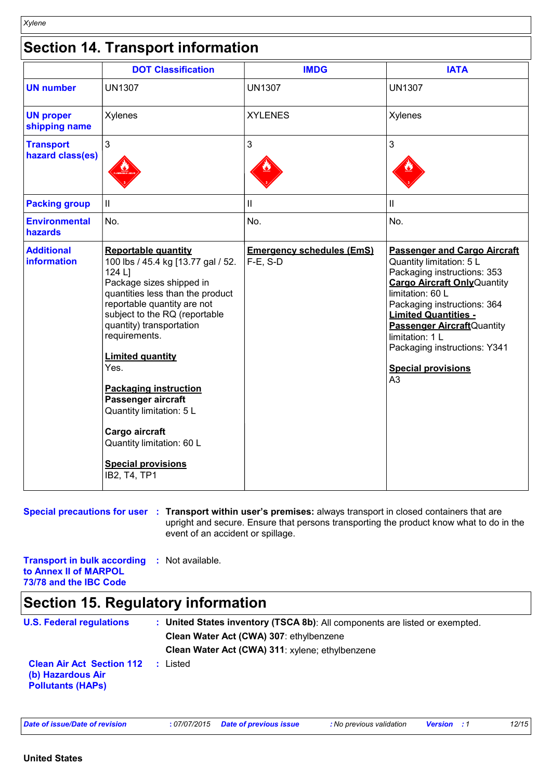|                                         | <b>DOT Classification</b>                                                                                                                                                                                                                                                                                                                                                                                                                                                | <b>IMDG</b>                                     | <b>IATA</b>                                                                                                                                                                                                                                                                                                                                                     |
|-----------------------------------------|--------------------------------------------------------------------------------------------------------------------------------------------------------------------------------------------------------------------------------------------------------------------------------------------------------------------------------------------------------------------------------------------------------------------------------------------------------------------------|-------------------------------------------------|-----------------------------------------------------------------------------------------------------------------------------------------------------------------------------------------------------------------------------------------------------------------------------------------------------------------------------------------------------------------|
| <b>UN number</b>                        | <b>UN1307</b>                                                                                                                                                                                                                                                                                                                                                                                                                                                            | <b>UN1307</b>                                   | <b>UN1307</b>                                                                                                                                                                                                                                                                                                                                                   |
| <b>UN proper</b><br>shipping name       | Xylenes                                                                                                                                                                                                                                                                                                                                                                                                                                                                  | <b>XYLENES</b>                                  | Xylenes                                                                                                                                                                                                                                                                                                                                                         |
| <b>Transport</b><br>hazard class(es)    | 3                                                                                                                                                                                                                                                                                                                                                                                                                                                                        | 3                                               | 3                                                                                                                                                                                                                                                                                                                                                               |
| <b>Packing group</b>                    | Ш                                                                                                                                                                                                                                                                                                                                                                                                                                                                        | $\ensuremath{\mathsf{II}}$                      | $\ensuremath{\mathsf{II}}$                                                                                                                                                                                                                                                                                                                                      |
| <b>Environmental</b><br><b>hazards</b>  | No.                                                                                                                                                                                                                                                                                                                                                                                                                                                                      | No.                                             | No.                                                                                                                                                                                                                                                                                                                                                             |
| <b>Additional</b><br><b>information</b> | <b>Reportable quantity</b><br>100 lbs / 45.4 kg [13.77 gal / 52.<br>124 L]<br>Package sizes shipped in<br>quantities less than the product<br>reportable quantity are not<br>subject to the RQ (reportable<br>quantity) transportation<br>requirements.<br><b>Limited quantity</b><br>Yes.<br><b>Packaging instruction</b><br>Passenger aircraft<br>Quantity limitation: 5 L<br>Cargo aircraft<br>Quantity limitation: 60 L<br><b>Special provisions</b><br>IB2, T4, TP1 | <b>Emergency schedules (EmS)</b><br>$F-E$ , S-D | <b>Passenger and Cargo Aircraft</b><br>Quantity limitation: 5 L<br>Packaging instructions: 353<br><b>Cargo Aircraft Only Quantity</b><br>limitation: 60 L<br>Packaging instructions: 364<br><b>Limited Quantities -</b><br><b>Passenger Aircraft</b> Quantity<br>limitation: 1 L<br>Packaging instructions: Y341<br><b>Special provisions</b><br>A <sub>3</sub> |

#### **Special precautions for user** : Transport within user's premises: always transport in closed containers that are upright and secure. Ensure that persons transporting the product know what to do in the event of an accident or spillage.

**Transport in bulk according :** Not available. **to Annex II of MARPOL 73/78 and the IBC Code**

## **Section 15. Regulatory information**

| <b>U.S. Federal regulations</b>                                                   |  | : United States inventory (TSCA 8b): All components are listed or exempted. |
|-----------------------------------------------------------------------------------|--|-----------------------------------------------------------------------------|
|                                                                                   |  | Clean Water Act (CWA) 307: ethylbenzene                                     |
|                                                                                   |  | Clean Water Act (CWA) 311: xylene; ethylbenzene                             |
| <b>Clean Air Act Section 112</b><br>(b) Hazardous Air<br><b>Pollutants (HAPS)</b> |  | : Listed                                                                    |

*Date of issue/Date of revision* **:** *07/07/2015 Date of previous issue : No previous validation Version : 1 12/15*

*Xylene*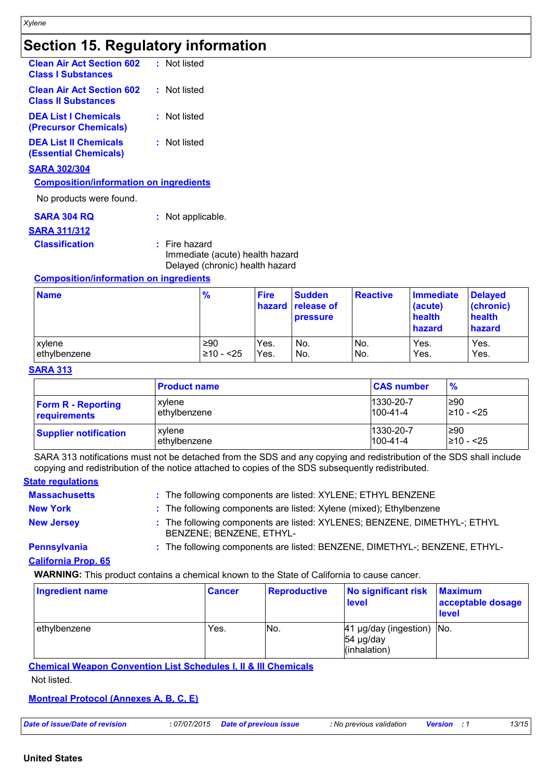# **Section 15. Regulatory information**

| <b>Clean Air Act Section 602</b><br><b>Class I Substances</b>  | : Not listed |
|----------------------------------------------------------------|--------------|
| <b>Clean Air Act Section 602</b><br><b>Class II Substances</b> | : Not listed |
| <b>DEA List I Chemicals</b><br>(Precursor Chemicals)           | : Not listed |
| <b>DEA List II Chemicals</b><br><b>(Essential Chemicals)</b>   | : Not listed |
| <b>SARA 302/304</b>                                            |              |
| <b>Composition/information on ingredients</b>                  |              |
| No products were found.                                        |              |

| SARA 304 RQ<br><u>SARA 311/312</u> | : Not applicable.                                                                     |
|------------------------------------|---------------------------------------------------------------------------------------|
| <b>Classification</b>              | $:$ Fire hazard<br>Immediate (acute) health hazard<br>Delayed (chronic) health hazard |

## **Composition/information on ingredients**

| <b>Name</b>  | $\frac{9}{6}$ | <b>Fire</b> | <b>Sudden</b><br>hazard release of<br><b>pressure</b> | <b>Reactive</b> | Immediate<br>(acute)<br>health<br>hazard | <b>Delayed</b><br>(chronic)<br>health<br>hazard |
|--------------|---------------|-------------|-------------------------------------------------------|-----------------|------------------------------------------|-------------------------------------------------|
| xylene       | ≥90           | Yes.        | No.                                                   | IN <sub>o</sub> | Yes.                                     | Yes.                                            |
| ethylbenzene | $≥10 - 25$    | Yes.        | No.                                                   | IN <sub>o</sub> | Yes.                                     | Yes.                                            |

#### **SARA 313**

|                              | <b>Product name</b> | <b>CAS number</b> | $\frac{9}{6}$  |
|------------------------------|---------------------|-------------------|----------------|
| <b>Form R - Reporting</b>    | xvlene              | 1330-20-7         | 1≥90           |
| requirements                 | ethylbenzene        | $100 - 41 - 4$    | $\geq 10 - 25$ |
| <b>Supplier notification</b> | xylene              | 1330-20-7         | l≥90           |
|                              | ethylbenzene        | $100 - 41 - 4$    | 210 - <25      |

SARA 313 notifications must not be detached from the SDS and any copying and redistribution of the SDS shall include copying and redistribution of the notice attached to copies of the SDS subsequently redistributed.

## **State regulations**

| <b>Massachusetts</b> | : The following components are listed: XYLENE; ETHYL BENZENE                                          |
|----------------------|-------------------------------------------------------------------------------------------------------|
| <b>New York</b>      | : The following components are listed: Xylene (mixed); Ethylbenzene                                   |
| <b>New Jersey</b>    | : The following components are listed: XYLENES; BENZENE, DIMETHYL-; ETHYL<br>BENZENE: BENZENE. ETHYL- |

**Pennsylvania :** The following components are listed: BENZENE, DIMETHYL-; BENZENE, ETHYL-

#### **California Prop. 65**

**WARNING:** This product contains a chemical known to the State of California to cause cancer.

| <b>Ingredient name</b> | <b>Cancer</b> | <b>Reproductive</b> | No significant risk<br><b>level</b>                    | <b>Maximum</b><br>acceptable dosage<br><b>I</b> evel |
|------------------------|---------------|---------------------|--------------------------------------------------------|------------------------------------------------------|
| ethylbenzene           | Yes.          | No.                 | 41 µg/day (ingestion) No.<br>54 µg/day<br>(inhalation) |                                                      |

#### **Chemical Weapon Convention List Schedules I, II & III Chemicals**

Not listed.

#### **Montreal Protocol (Annexes A, B, C, E)**

| 13/15<br>: 07/07/2015 Date of previous issue<br>Date of issue/Date of revision<br>: No previous validation<br><b>Version</b> |
|------------------------------------------------------------------------------------------------------------------------------|
|------------------------------------------------------------------------------------------------------------------------------|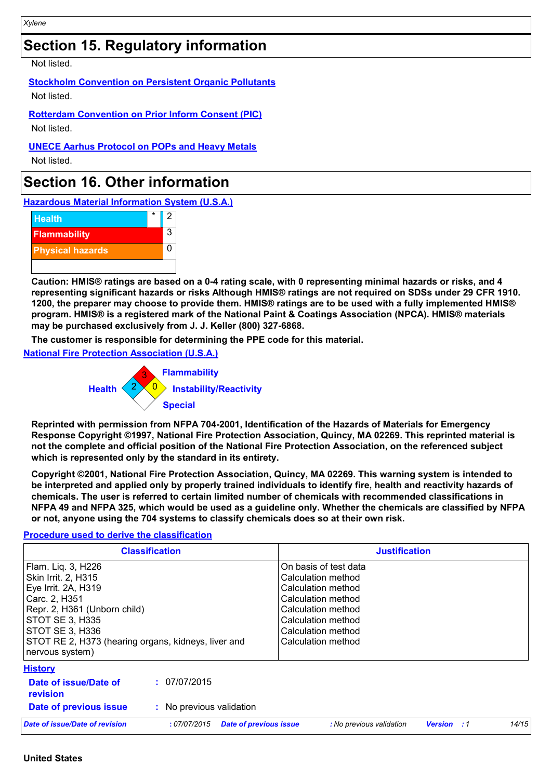# **Section 15. Regulatory information**

Not listed.

**Stockholm Convention on Persistent Organic Pollutants**

Not listed.

**Rotterdam Convention on Prior Inform Consent (PIC)** Not listed.

**UNECE Aarhus Protocol on POPs and Heavy Metals**

Not listed.

## **Section 16. Other information**

**Hazardous Material Information System (U.S.A.)**



**Caution: HMIS® ratings are based on a 0-4 rating scale, with 0 representing minimal hazards or risks, and 4 representing significant hazards or risks Although HMIS® ratings are not required on SDSs under 29 CFR 1910. 1200, the preparer may choose to provide them. HMIS® ratings are to be used with a fully implemented HMIS® program. HMIS® is a registered mark of the National Paint & Coatings Association (NPCA). HMIS® materials may be purchased exclusively from J. J. Keller (800) 327-6868.**

**The customer is responsible for determining the PPE code for this material.**

**National Fire Protection Association (U.S.A.)**



**Reprinted with permission from NFPA 704-2001, Identification of the Hazards of Materials for Emergency Response Copyright ©1997, National Fire Protection Association, Quincy, MA 02269. This reprinted material is not the complete and official position of the National Fire Protection Association, on the referenced subject which is represented only by the standard in its entirety.**

**Copyright ©2001, National Fire Protection Association, Quincy, MA 02269. This warning system is intended to be interpreted and applied only by properly trained individuals to identify fire, health and reactivity hazards of chemicals. The user is referred to certain limited number of chemicals with recommended classifications in NFPA 49 and NFPA 325, which would be used as a guideline only. Whether the chemicals are classified by NFPA or not, anyone using the 704 systems to classify chemicals does so at their own risk.**

| <b>Classification</b>                                                                                                                                                                                                              | <b>Justification</b>                                                                                                                                                            |
|------------------------------------------------------------------------------------------------------------------------------------------------------------------------------------------------------------------------------------|---------------------------------------------------------------------------------------------------------------------------------------------------------------------------------|
| Flam. Liq. 3, H226<br>Skin Irrit. 2, H315<br>Eye Irrit. 2A, H319<br>Carc. 2, H351<br>Repr. 2, H361 (Unborn child)<br>STOT SE 3, H335<br> STOT SE 3, H336<br>STOT RE 2, H373 (hearing organs, kidneys, liver and<br>nervous system) | On basis of test data<br>Calculation method<br>Calculation method<br>Calculation method<br>Calculation method<br>Calculation method<br>Calculation method<br>Calculation method |
| <b>History</b><br>: 07/07/2015<br>Date of issue/Date of                                                                                                                                                                            |                                                                                                                                                                                 |
| revision<br>: No previous validation<br>Date of previous issue                                                                                                                                                                     |                                                                                                                                                                                 |
| Date of issue/Date of revision<br>:07/07/2015                                                                                                                                                                                      | 14/15<br>: No previous validation<br><b>Date of previous issue</b><br><b>Version</b><br>$\cdot$ :1                                                                              |

## **Procedure used to derive the classification**